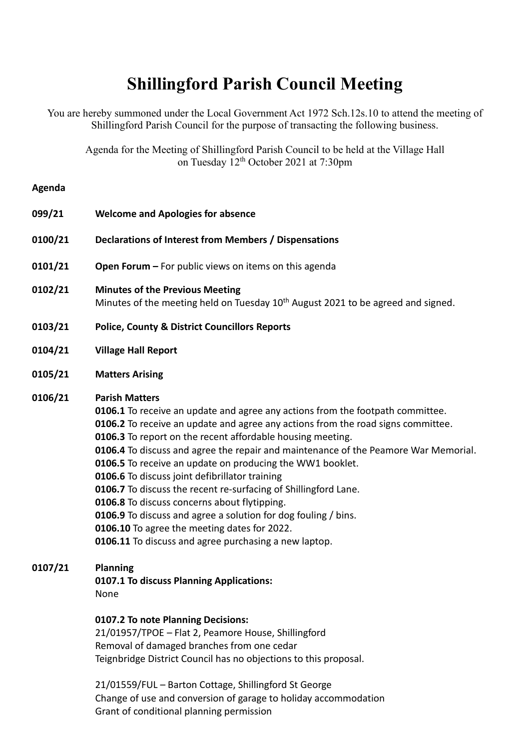# **Shillingford Parish Council Meeting**

You are hereby summoned under the Local Government Act 1972 Sch.12s.10 to attend the meeting of Shillingford Parish Council for the purpose of transacting the following business.

Agenda for the Meeting of Shillingford Parish Council to be held at the Village Hall on Tuesday 12<sup>th</sup> October 2021 at 7:30pm

#### **Agenda**

| 099/21  | <b>Welcome and Apologies for absence</b>                                                                                                                                                                                                                                                                                                                                                                                                                                                                                                                                                                                                                                                                                                                      |
|---------|---------------------------------------------------------------------------------------------------------------------------------------------------------------------------------------------------------------------------------------------------------------------------------------------------------------------------------------------------------------------------------------------------------------------------------------------------------------------------------------------------------------------------------------------------------------------------------------------------------------------------------------------------------------------------------------------------------------------------------------------------------------|
| 0100/21 | Declarations of Interest from Members / Dispensations                                                                                                                                                                                                                                                                                                                                                                                                                                                                                                                                                                                                                                                                                                         |
| 0101/21 | Open Forum - For public views on items on this agenda                                                                                                                                                                                                                                                                                                                                                                                                                                                                                                                                                                                                                                                                                                         |
| 0102/21 | <b>Minutes of the Previous Meeting</b><br>Minutes of the meeting held on Tuesday 10 <sup>th</sup> August 2021 to be agreed and signed.                                                                                                                                                                                                                                                                                                                                                                                                                                                                                                                                                                                                                        |
| 0103/21 | <b>Police, County &amp; District Councillors Reports</b>                                                                                                                                                                                                                                                                                                                                                                                                                                                                                                                                                                                                                                                                                                      |
| 0104/21 | <b>Village Hall Report</b>                                                                                                                                                                                                                                                                                                                                                                                                                                                                                                                                                                                                                                                                                                                                    |
| 0105/21 | <b>Matters Arising</b>                                                                                                                                                                                                                                                                                                                                                                                                                                                                                                                                                                                                                                                                                                                                        |
| 0106/21 | <b>Parish Matters</b><br>0106.1 To receive an update and agree any actions from the footpath committee.<br>0106.2 To receive an update and agree any actions from the road signs committee.<br>0106.3 To report on the recent affordable housing meeting.<br>0106.4 To discuss and agree the repair and maintenance of the Peamore War Memorial.<br>0106.5 To receive an update on producing the WW1 booklet.<br>0106.6 To discuss joint defibrillator training<br>0106.7 To discuss the recent re-surfacing of Shillingford Lane.<br>0106.8 To discuss concerns about flytipping.<br>0106.9 To discuss and agree a solution for dog fouling / bins.<br>0106.10 To agree the meeting dates for 2022.<br>0106.11 To discuss and agree purchasing a new laptop. |
| 0107/21 | <b>Planning</b><br>0107.1 To discuss Planning Applications:<br>None                                                                                                                                                                                                                                                                                                                                                                                                                                                                                                                                                                                                                                                                                           |
|         | 0107.2 To note Planning Decisions:<br>21/01957/TPOE - Flat 2 Peamore House Shillingford                                                                                                                                                                                                                                                                                                                                                                                                                                                                                                                                                                                                                                                                       |

Shillingtord Removal of damaged branches from one cedar Teignbridge District Council has no objections to this proposal.

21/01559/FUL – Barton Cottage, Shillingford St George Change of use and conversion of garage to holiday accommodation Grant of conditional planning permission